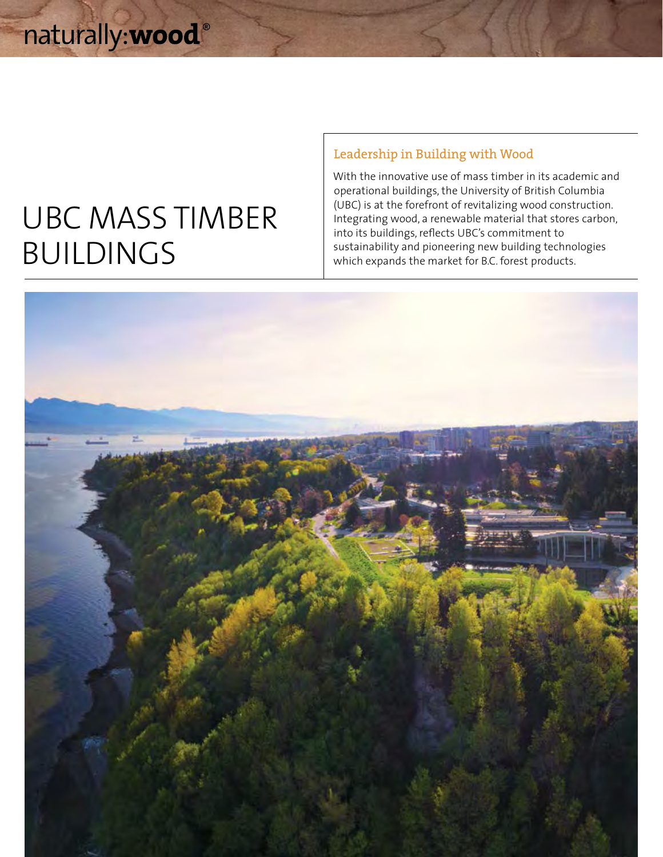# UBC MASS TIMBER BUILDINGS

# Leadership in Building with Wood

With the innovative use of mass timber in its academic and operational buildings, the University of British Columbia (UBC) is at the forefront of revitalizing wood construction. Integrating wood, a renewable material that stores carbon, into its buildings, reflects UBC's commitment to sustainability and pioneering new building technologies which expands the market for B.C. forest products.

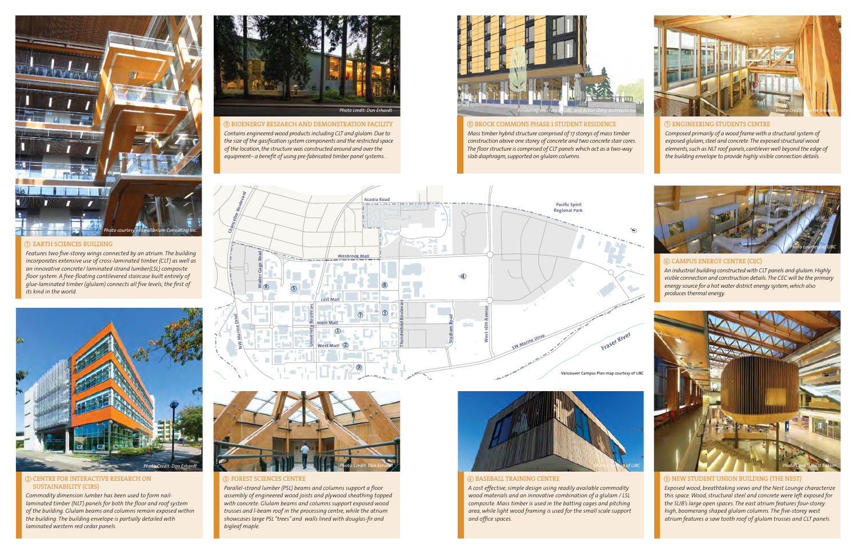*Contains engineered wood products including CLT and glulam. Due to the size of the gasification system components and the restricted space of the location, the structure was constructed around and over the equipment– a benefit of using pre-fabricated timber panel systems.*



## **8 BROCK COMMONS PHASE 1 STUDENT RESIDENCE**

### 2) CENTRE FOR INTERACTIVE RESEARCH ON A REAL PROPERTY OF RESEARCH ON A REAL PROPERTY OF REAL PROPERTY OF REAL PROPERTY OF REAL PROPERTY OF REAL PROPERTY OF REAL PROPERTY OF REAL PROPERTY OF REAL PROPERTY OF REAL PROPERTY O SUSTAINABILITY (CIRS)

*Mass timber hybrid structure comprised of 17 storeys of mass timber construction above one storey of concrete and two concrete stair cores. The floor structure is comprised of CLT panels which act as a two-way slab diaphragm, supported on glulam columns.*

## ENGINEERING STUDENTS CENTRE

*Composed primarily of a wood frame with a structural system of exposed glulam, steel and concrete. The exposed structural wood elements, such as NLT roof panels, cantilever well beyond the edge of the building envelope to provide highly visible connection details.*

*Commodity dimension lumber has been used to form naillaminated timber (NLT) panels for both the floor and roof system of the building. Glulam beams and columns remain exposed within the building. The building envelope is partially detailed with laminated western red cedar panels.* 



### 9 BIOENERGY RESEARCH AND DEMONSTRATION FACILITY **And SEARCH AND RESEARCH AND DEMONSTRATION FACILITY** (7 %) (9 & 9 8 7 KM) (8 & 8 8 AM) (7 %) BIOENERGY RESIDENCE

 FOREST SCIENCES CENTRE

*Parallel-strand lumber (PSL) beams and columns support a floor assembly of engineered wood joists and plywood sheathing topped with concrete. Glulam beams and columns support exposed wood trusses and l-beam roof in the processing centre, while the atrium showcases large PSL "trees" and walls lined with douglas-fir and bigleaf maple.*





### BASEBALL TRAINING CENTRE

*A cost effective, simple design using readily available commodity wood materials and an innovative combination of a glulam / LSL composite. Mass timber is used in the batting cages and pitching area, while light wood framing is used for the small scale support and office spaces.*



*Exposed wood, breathtaking views and the Nest Lounge characterize this space. Wood, structural steel and concrete were left exposed for the SUB's large open spaces. The east atrium features four-storey high, boomerang shaped glulam columns. The five-storey west atrium features a saw tooth roof of glulam trusses and CLT panels.*



*An industrial building constructed with CLT panels and glulam. Highly visible connection and construction details. The CEC will be the primary energy source for a hot water district energy system, which also produces thermal energy.*



## (5) NEW STUDENT UNION BUILDING (THE NEST)



#### $\circledS$  CAMPUS ENERGY CENTRE (CEC)





*Features two five-storey wings connected by an atrium. The building incorporates extensive use of cross-laminated timber (CLT) as well as an innovative concrete/ laminated strand lumber(LSL) composite floor system. A free-floating cantilevered staircase built entirely of glue-laminated timber (glulam) connects all five levels; the first of its kind in the world.*





#### $\mathbb D$  EARTH SCIENCES BUILDING